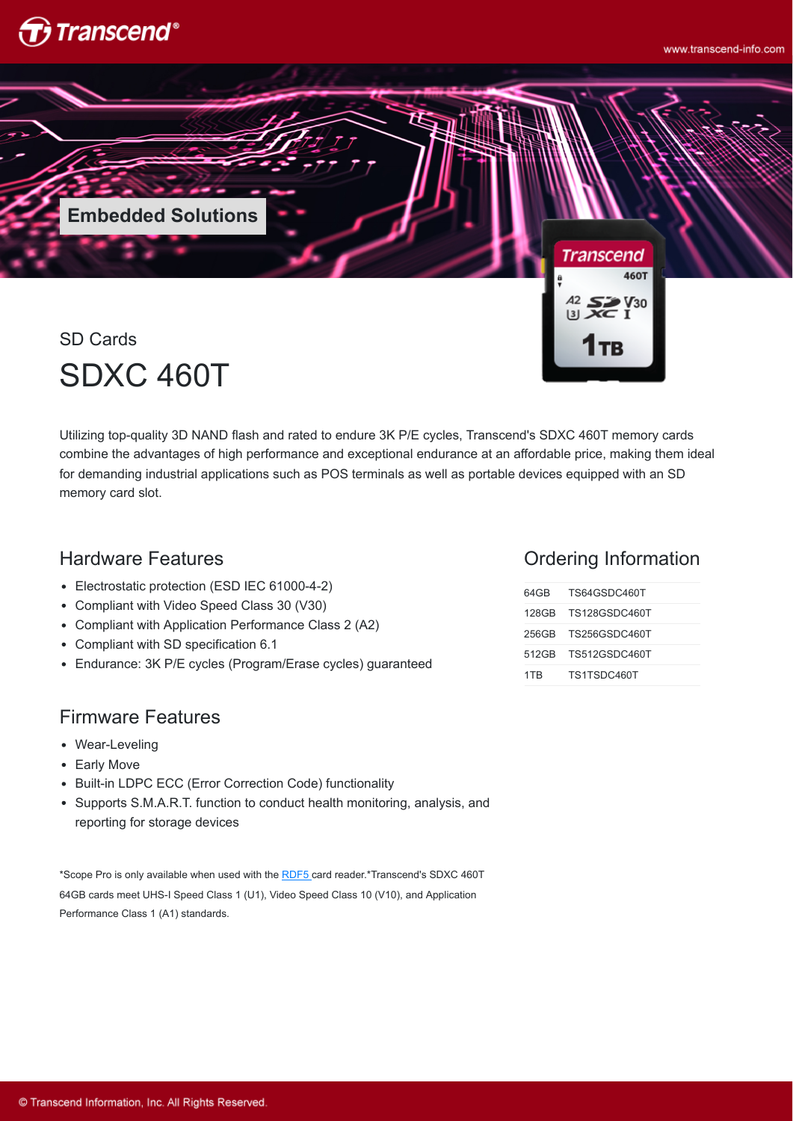



SD Cards SDXC 460T

Utilizing top-quality 3D NAND flash and rated to endure 3K P/E cycles, Transcend's SDXC 460T memory cards combine the advantages of high performance and exceptional endurance at an affordable price, making them ideal for demanding industrial applications such as POS terminals as well as portable devices equipped with an SD memory card slot.

## Hardware Features

- Electrostatic protection (ESD IEC 61000-4-2)
- Compliant with Video Speed Class 30 (V30)
- Compliant with Application Performance Class 2 (A2)
- Compliant with SD specification 6.1
- Endurance: 3K P/E cycles (Program/Erase cycles) guaranteed

### Firmware Features

- Wear-Leveling
- Early Move
- Built-in LDPC ECC (Error Correction Code) functionality
- Supports S.M.A.R.T. function to conduct health monitoring, analysis, and reporting for storage devices

\*Scope Pro is only available when used with the [RDF5](http://twms.transcend-info.com/Products/No-396) card reader.\*Transcend's SDXC 460T 64GB cards meet UHS-I Speed Class 1 (U1), Video Speed Class 10 (V10), and Application Performance Class 1 (A1) standards.

#### Ordering Information

| 64 G B | TS64GSDC460T        |
|--------|---------------------|
|        | 128GB TS128GSDC460T |
|        | 256GB TS256GSDC460T |
|        | 512GB TS512GSDC460T |
| 1TR    | TS1TSDC460T         |